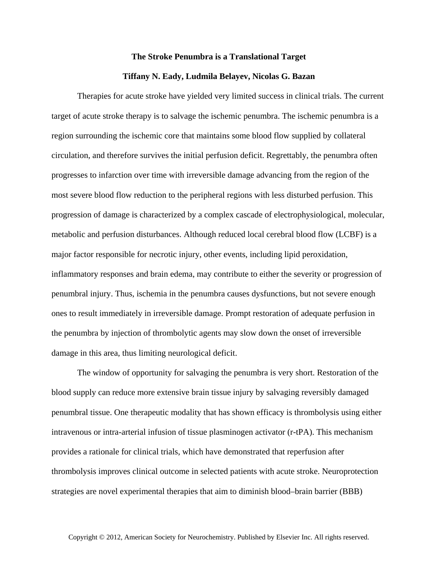## **The Stroke Penumbra is a Translational Target**

## **Tiffany N. Eady, Ludmila Belayev, Nicolas G. Bazan**

Therapies for acute stroke have yielded very limited success in clinical trials. The current target of acute stroke therapy is to salvage the ischemic penumbra. The ischemic penumbra is a region surrounding the ischemic core that maintains some blood flow supplied by collateral circulation, and therefore survives the initial perfusion deficit. Regrettably, the penumbra often progresses to infarction over time with irreversible damage advancing from the region of the most severe blood flow reduction to the peripheral regions with less disturbed perfusion. This progression of damage is characterized by a complex cascade of electrophysiological, molecular, metabolic and perfusion disturbances. Although reduced local cerebral blood flow (LCBF) is a major factor responsible for necrotic injury, other events, including lipid peroxidation, inflammatory responses and brain edema, may contribute to either the severity or progression of penumbral injury. Thus, ischemia in the penumbra causes dysfunctions, but not severe enough ones to result immediately in irreversible damage. Prompt restoration of adequate perfusion in the penumbra by injection of thrombolytic agents may slow down the onset of irreversible damage in this area, thus limiting neurological deficit.

The window of opportunity for salvaging the penumbra is very short. Restoration of the blood supply can reduce more extensive brain tissue injury by salvaging reversibly damaged penumbral tissue. One therapeutic modality that has shown efficacy is thrombolysis using either intravenous or intra-arterial infusion of tissue plasminogen activator (r-tPA). This mechanism provides a rationale for clinical trials, which have demonstrated that reperfusion after thrombolysis improves clinical outcome in selected patients with acute stroke. Neuroprotection strategies are novel experimental therapies that aim to diminish blood–brain barrier (BBB)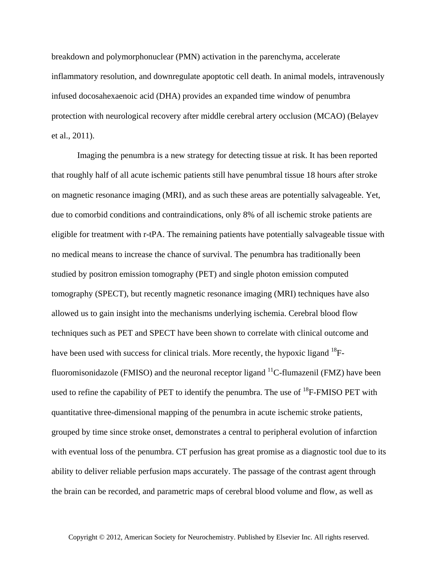breakdown and polymorphonuclear (PMN) activation in the parenchyma, accelerate inflammatory resolution, and downregulate apoptotic cell death. In animal models, intravenously infused docosahexaenoic acid (DHA) provides an expanded time window of penumbra protection with neurological recovery after middle cerebral artery occlusion (MCAO) (Belayev et al., 2011).

Imaging the penumbra is a new strategy for detecting tissue at risk. It has been reported that roughly half of all acute ischemic patients still have penumbral tissue 18 hours after stroke on magnetic resonance imaging (MRI), and as such these areas are potentially salvageable. Yet, due to comorbid conditions and contraindications, only 8% of all ischemic stroke patients are eligible for treatment with r-tPA. The remaining patients have potentially salvageable tissue with no medical means to increase the chance of survival. The penumbra has traditionally been studied by positron emission tomography (PET) and single photon emission computed tomography (SPECT), but recently magnetic resonance imaging (MRI) techniques have also allowed us to gain insight into the mechanisms underlying ischemia. Cerebral blood flow techniques such as PET and SPECT have been shown to correlate with clinical outcome and have been used with success for clinical trials. More recently, the hypoxic ligand  $^{18}F$ fluoromisonidazole (FMISO) and the neuronal receptor ligand  $^{11}$ C-flumazenil (FMZ) have been used to refine the capability of PET to identify the penumbra. The use of <sup>18</sup>F-FMISO PET with quantitative three-dimensional mapping of the penumbra in acute ischemic stroke patients, grouped by time since stroke onset, demonstrates a central to peripheral evolution of infarction with eventual loss of the penumbra. CT perfusion has great promise as a diagnostic tool due to its ability to deliver reliable perfusion maps accurately. The passage of the contrast agent through the brain can be recorded, and parametric maps of cerebral blood volume and flow, as well as